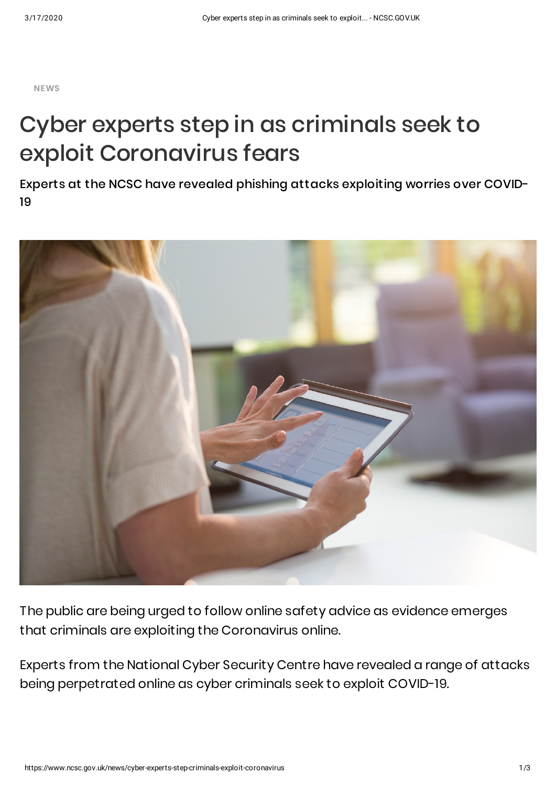**NEWS**

## Cyber experts step in as criminals seek to exploit Coronavirus fears

Experts at the NCSC have revealed phishing attacks exploiting worries over COVID-19



The public are being urged to follow online safety advice as evidence emerges that criminals are exploiting the Coronavirus online.

Experts from the National Cyber Security Centre have revealed a range of attacks being perpetrated online as cyber criminals seek to exploit COVID-19.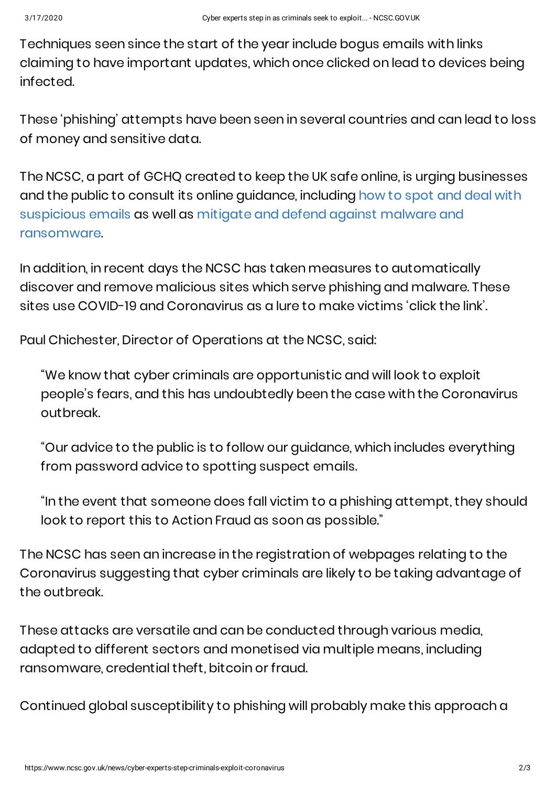Techniques seen since the start of the year include bogus emails with links claiming to have important updates, which once clicked on lead to devices being infected.

These 'phishing' attempts have been seen in several countries and can lead to loss of money and sensitive data.

The NCSC, a part of GCHQ created to keep the UK safe online, is urging businesses and the public to consult its online guidance, including how to spot and deal with [suspicious](https://www.ncsc.gov.uk/guidance/suspicious-email-actions) emails as well as mitigate and defend against malware and [ransomware.](https://www.ncsc.gov.uk/guidance/mitigating-malware-and-ransomware-attacks)

In addition, in recent days the NCSC has taken measures to automatically discover and remove malicious sites which serve phishing and malware. These sites use COVID-19 and Coronavirus as a lure to make victims 'click the link'.

Paul Chichester, Director of Operations at the NCSC, said:

"We know that cyber criminals are opportunistic and will look to exploit people's fears, and this has undoubtedly been the case with the Coronavirus outbreak.

"Our advice to the public is to follow our guidance, which includes everything from password advice to spotting suspect emails.

"In the event that someone does fall victim to a phishing attempt, they should look to report this to Action Fraud as soon as possible."

The NCSC has seen an increase in the registration of webpages relating to the Coronavirus suggesting that cyber criminals are likely to be taking advantage of the outbreak.

These attacks are versatile and can be conducted through various media, adapted to different sectors and monetised via multiple means, including ransomware, credential theft, bitcoin or fraud.

Continued global susceptibility to phishing will probably make this approach a